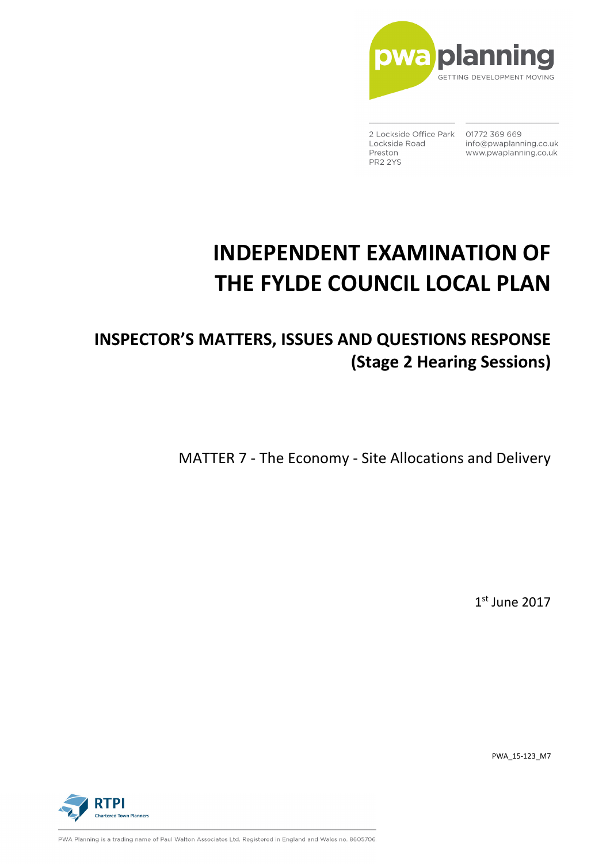

2 Lockside Office Park 01772 369 669 Lockside Road Preston PR2 2YS

info@pwaplanning.co.uk www.pwaplanning.co.uk

# **INDEPENDENT EXAMINATION OF THE FYLDE COUNCIL LOCAL PLAN**

## **INSPECTOR'S MATTERS, ISSUES AND QUESTIONS RESPONSE (Stage 2 Hearing Sessions)**

MATTER 7 - The Economy - Site Allocations and Delivery

1 st June 2017

PWA\_15-123\_M7



PWA Planning is a trading name of Paul Walton Associates Ltd. Registered in England and Wales no. 8605706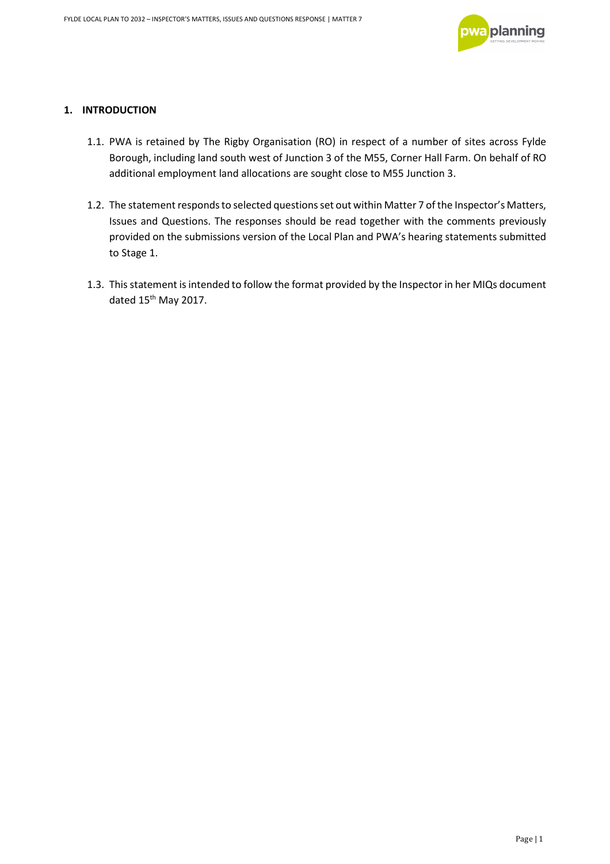

#### **1. INTRODUCTION**

- 1.1. PWA is retained by The Rigby Organisation (RO) in respect of a number of sites across Fylde Borough, including land south west of Junction 3 of the M55, Corner Hall Farm. On behalf of RO additional employment land allocations are sought close to M55 Junction 3.
- 1.2. The statement responds to selected questions set out within Matter 7 of the Inspector's Matters, Issues and Questions. The responses should be read together with the comments previously provided on the submissions version of the Local Plan and PWA's hearing statements submitted to Stage 1.
- 1.3. This statement is intended to follow the format provided by the Inspector in her MIQs document dated 15<sup>th</sup> May 2017.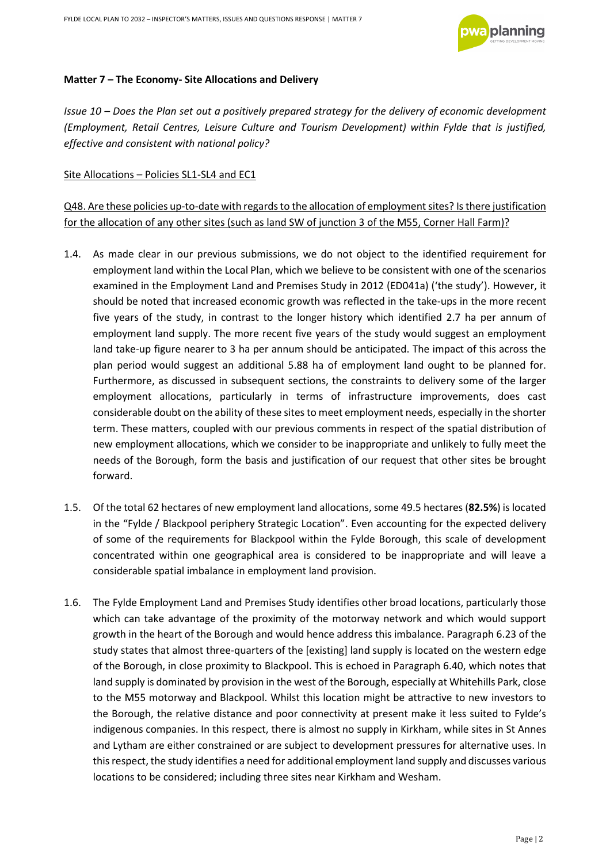

#### **Matter 7 – The Economy- Site Allocations and Delivery**

*Issue 10 – Does the Plan set out a positively prepared strategy for the delivery of economic development (Employment, Retail Centres, Leisure Culture and Tourism Development) within Fylde that is justified, effective and consistent with national policy?* 

Site Allocations – Policies SL1-SL4 and EC1

Q48. Are these policies up-to-date with regards to the allocation of employment sites? Is there justification for the allocation of any other sites (such as land SW of junction 3 of the M55, Corner Hall Farm)?

- 1.4. As made clear in our previous submissions, we do not object to the identified requirement for employment land within the Local Plan, which we believe to be consistent with one of the scenarios examined in the Employment Land and Premises Study in 2012 (ED041a) ('the study'). However, it should be noted that increased economic growth was reflected in the take-ups in the more recent five years of the study, in contrast to the longer history which identified 2.7 ha per annum of employment land supply. The more recent five years of the study would suggest an employment land take-up figure nearer to 3 ha per annum should be anticipated. The impact of this across the plan period would suggest an additional 5.88 ha of employment land ought to be planned for. Furthermore, as discussed in subsequent sections, the constraints to delivery some of the larger employment allocations, particularly in terms of infrastructure improvements, does cast considerable doubt on the ability of these sites to meet employment needs, especially in the shorter term. These matters, coupled with our previous comments in respect of the spatial distribution of new employment allocations, which we consider to be inappropriate and unlikely to fully meet the needs of the Borough, form the basis and justification of our request that other sites be brought forward.
- 1.5. Of the total 62 hectares of new employment land allocations, some 49.5 hectares (**82.5%**) is located in the "Fylde / Blackpool periphery Strategic Location". Even accounting for the expected delivery of some of the requirements for Blackpool within the Fylde Borough, this scale of development concentrated within one geographical area is considered to be inappropriate and will leave a considerable spatial imbalance in employment land provision.
- 1.6. The Fylde Employment Land and Premises Study identifies other broad locations, particularly those which can take advantage of the proximity of the motorway network and which would support growth in the heart of the Borough and would hence address this imbalance. Paragraph 6.23 of the study states that almost three-quarters of the [existing] land supply is located on the western edge of the Borough, in close proximity to Blackpool. This is echoed in Paragraph 6.40, which notes that land supply is dominated by provision in the west of the Borough, especially at Whitehills Park, close to the M55 motorway and Blackpool. Whilst this location might be attractive to new investors to the Borough, the relative distance and poor connectivity at present make it less suited to Fylde's indigenous companies. In this respect, there is almost no supply in Kirkham, while sites in St Annes and Lytham are either constrained or are subject to development pressures for alternative uses. In this respect, the study identifies a need for additional employment land supply and discusses various locations to be considered; including three sites near Kirkham and Wesham.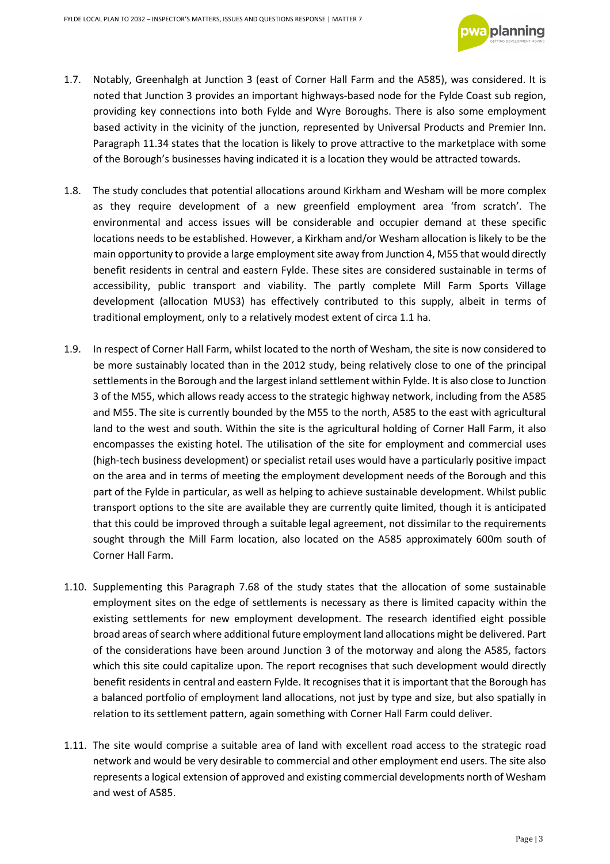

- 1.7. Notably, Greenhalgh at Junction 3 (east of Corner Hall Farm and the A585), was considered. It is noted that Junction 3 provides an important highways-based node for the Fylde Coast sub region, providing key connections into both Fylde and Wyre Boroughs. There is also some employment based activity in the vicinity of the junction, represented by Universal Products and Premier Inn. Paragraph 11.34 states that the location is likely to prove attractive to the marketplace with some of the Borough's businesses having indicated it is a location they would be attracted towards.
- 1.8. The study concludes that potential allocations around Kirkham and Wesham will be more complex as they require development of a new greenfield employment area 'from scratch'. The environmental and access issues will be considerable and occupier demand at these specific locations needs to be established. However, a Kirkham and/or Wesham allocation is likely to be the main opportunity to provide a large employment site away from Junction 4, M55 that would directly benefit residents in central and eastern Fylde. These sites are considered sustainable in terms of accessibility, public transport and viability. The partly complete Mill Farm Sports Village development (allocation MUS3) has effectively contributed to this supply, albeit in terms of traditional employment, only to a relatively modest extent of circa 1.1 ha.
- 1.9. In respect of Corner Hall Farm, whilst located to the north of Wesham, the site is now considered to be more sustainably located than in the 2012 study, being relatively close to one of the principal settlements in the Borough and the largest inland settlement within Fylde. It is also close to Junction 3 of the M55, which allows ready access to the strategic highway network, including from the A585 and M55. The site is currently bounded by the M55 to the north, A585 to the east with agricultural land to the west and south. Within the site is the agricultural holding of Corner Hall Farm, it also encompasses the existing hotel. The utilisation of the site for employment and commercial uses (high-tech business development) or specialist retail uses would have a particularly positive impact on the area and in terms of meeting the employment development needs of the Borough and this part of the Fylde in particular, as well as helping to achieve sustainable development. Whilst public transport options to the site are available they are currently quite limited, though it is anticipated that this could be improved through a suitable legal agreement, not dissimilar to the requirements sought through the Mill Farm location, also located on the A585 approximately 600m south of Corner Hall Farm.
- 1.10. Supplementing this Paragraph 7.68 of the study states that the allocation of some sustainable employment sites on the edge of settlements is necessary as there is limited capacity within the existing settlements for new employment development. The research identified eight possible broad areas of search where additional future employment land allocations might be delivered. Part of the considerations have been around Junction 3 of the motorway and along the A585, factors which this site could capitalize upon. The report recognises that such development would directly benefit residents in central and eastern Fylde. It recognises that it is important that the Borough has a balanced portfolio of employment land allocations, not just by type and size, but also spatially in relation to its settlement pattern, again something with Corner Hall Farm could deliver.
- 1.11. The site would comprise a suitable area of land with excellent road access to the strategic road network and would be very desirable to commercial and other employment end users. The site also represents a logical extension of approved and existing commercial developments north of Wesham and west of A585.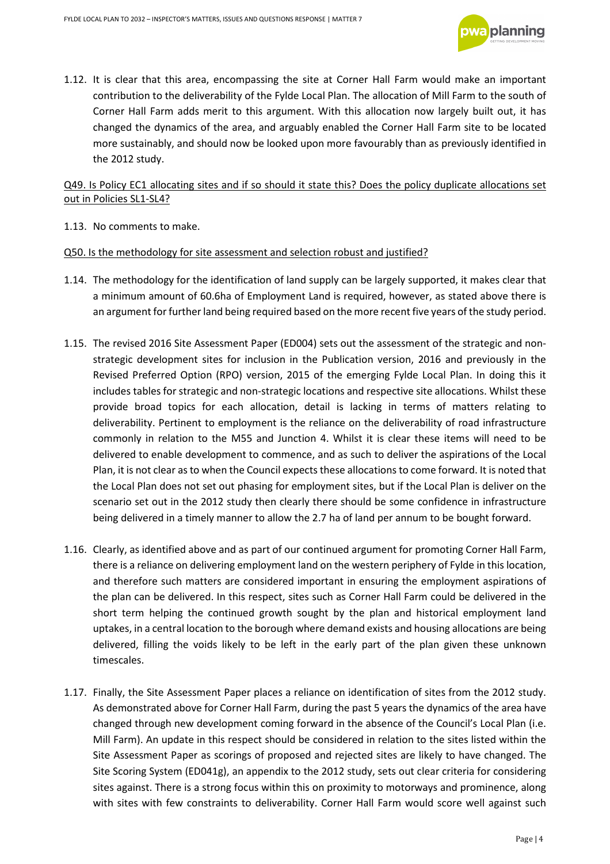

1.12. It is clear that this area, encompassing the site at Corner Hall Farm would make an important contribution to the deliverability of the Fylde Local Plan. The allocation of Mill Farm to the south of Corner Hall Farm adds merit to this argument. With this allocation now largely built out, it has changed the dynamics of the area, and arguably enabled the Corner Hall Farm site to be located more sustainably, and should now be looked upon more favourably than as previously identified in the 2012 study.

#### Q49. Is Policy EC1 allocating sites and if so should it state this? Does the policy duplicate allocations set out in Policies SL1-SL4?

1.13. No comments to make.

#### Q50. Is the methodology for site assessment and selection robust and justified?

- 1.14. The methodology for the identification of land supply can be largely supported, it makes clear that a minimum amount of 60.6ha of Employment Land is required, however, as stated above there is an argument for further land being required based on the more recent five years of the study period.
- 1.15. The revised 2016 Site Assessment Paper (ED004) sets out the assessment of the strategic and nonstrategic development sites for inclusion in the Publication version, 2016 and previously in the Revised Preferred Option (RPO) version, 2015 of the emerging Fylde Local Plan. In doing this it includes tables for strategic and non-strategic locations and respective site allocations. Whilst these provide broad topics for each allocation, detail is lacking in terms of matters relating to deliverability. Pertinent to employment is the reliance on the deliverability of road infrastructure commonly in relation to the M55 and Junction 4. Whilst it is clear these items will need to be delivered to enable development to commence, and as such to deliver the aspirations of the Local Plan, it is not clear as to when the Council expects these allocations to come forward. It is noted that the Local Plan does not set out phasing for employment sites, but if the Local Plan is deliver on the scenario set out in the 2012 study then clearly there should be some confidence in infrastructure being delivered in a timely manner to allow the 2.7 ha of land per annum to be bought forward.
- 1.16. Clearly, as identified above and as part of our continued argument for promoting Corner Hall Farm, there is a reliance on delivering employment land on the western periphery of Fylde in this location, and therefore such matters are considered important in ensuring the employment aspirations of the plan can be delivered. In this respect, sites such as Corner Hall Farm could be delivered in the short term helping the continued growth sought by the plan and historical employment land uptakes, in a central location to the borough where demand exists and housing allocations are being delivered, filling the voids likely to be left in the early part of the plan given these unknown timescales.
- 1.17. Finally, the Site Assessment Paper places a reliance on identification of sites from the 2012 study. As demonstrated above for Corner Hall Farm, during the past 5 years the dynamics of the area have changed through new development coming forward in the absence of the Council's Local Plan (i.e. Mill Farm). An update in this respect should be considered in relation to the sites listed within the Site Assessment Paper as scorings of proposed and rejected sites are likely to have changed. The Site Scoring System (ED041g), an appendix to the 2012 study, sets out clear criteria for considering sites against. There is a strong focus within this on proximity to motorways and prominence, along with sites with few constraints to deliverability. Corner Hall Farm would score well against such